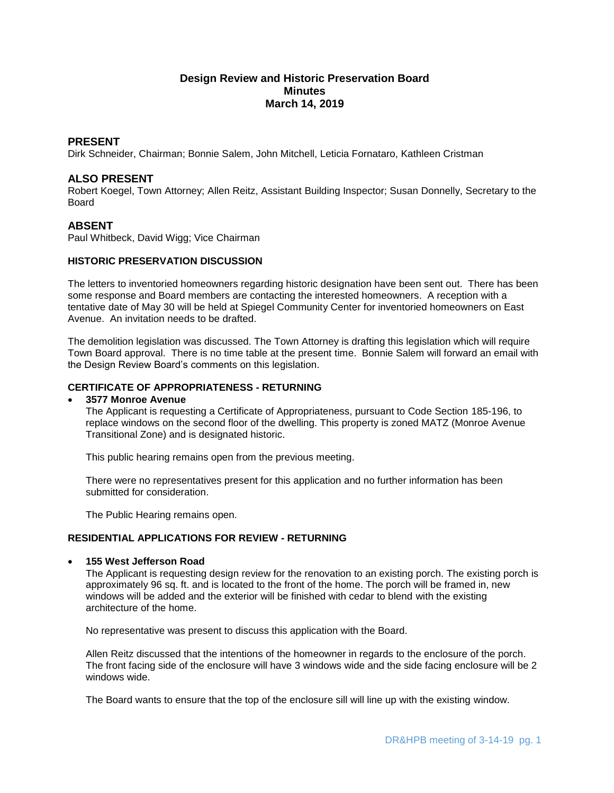# **Design Review and Historic Preservation Board Minutes March 14, 2019**

### **PRESENT**

Dirk Schneider, Chairman; Bonnie Salem, John Mitchell, Leticia Fornataro, Kathleen Cristman

# **ALSO PRESENT**

Robert Koegel, Town Attorney; Allen Reitz, Assistant Building Inspector; Susan Donnelly, Secretary to the Board

# **ABSENT**

Paul Whitbeck, David Wigg; Vice Chairman

# **HISTORIC PRESERVATION DISCUSSION**

The letters to inventoried homeowners regarding historic designation have been sent out. There has been some response and Board members are contacting the interested homeowners. A reception with a tentative date of May 30 will be held at Spiegel Community Center for inventoried homeowners on East Avenue. An invitation needs to be drafted.

The demolition legislation was discussed. The Town Attorney is drafting this legislation which will require Town Board approval. There is no time table at the present time. Bonnie Salem will forward an email with the Design Review Board's comments on this legislation.

# **CERTIFICATE OF APPROPRIATENESS - RETURNING**

#### **3577 Monroe Avenue**

The Applicant is requesting a Certificate of Appropriateness, pursuant to Code Section 185-196, to replace windows on the second floor of the dwelling. This property is zoned MATZ (Monroe Avenue Transitional Zone) and is designated historic.

This public hearing remains open from the previous meeting.

There were no representatives present for this application and no further information has been submitted for consideration.

The Public Hearing remains open.

#### **RESIDENTIAL APPLICATIONS FOR REVIEW - RETURNING**

# **155 West Jefferson Road**

The Applicant is requesting design review for the renovation to an existing porch. The existing porch is approximately 96 sq. ft. and is located to the front of the home. The porch will be framed in, new windows will be added and the exterior will be finished with cedar to blend with the existing architecture of the home.

No representative was present to discuss this application with the Board.

Allen Reitz discussed that the intentions of the homeowner in regards to the enclosure of the porch. The front facing side of the enclosure will have 3 windows wide and the side facing enclosure will be 2 windows wide.

The Board wants to ensure that the top of the enclosure sill will line up with the existing window.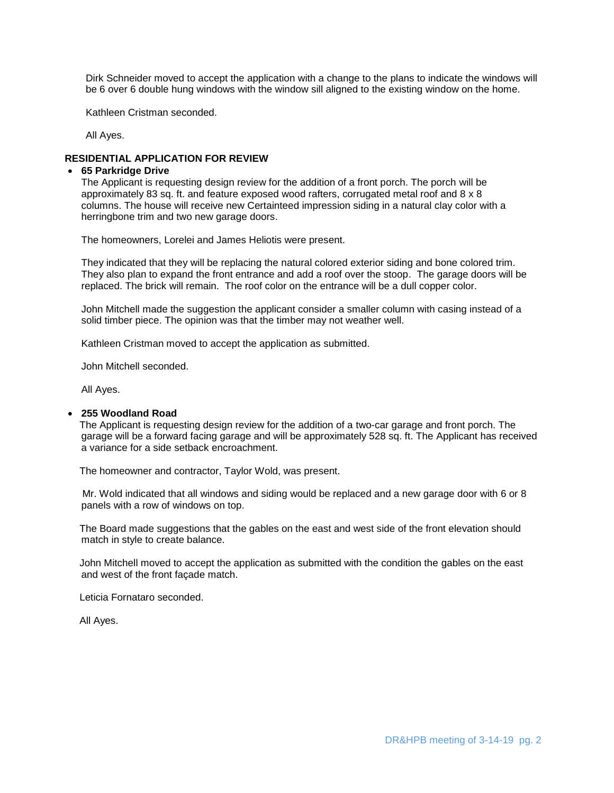Dirk Schneider moved to accept the application with a change to the plans to indicate the windows will be 6 over 6 double hung windows with the window sill aligned to the existing window on the home.

Kathleen Cristman seconded.

All Ayes.

#### **RESIDENTIAL APPLICATION FOR REVIEW**

### **65 Parkridge Drive**

The Applicant is requesting design review for the addition of a front porch. The porch will be approximately 83 sq. ft. and feature exposed wood rafters, corrugated metal roof and 8 x 8 columns. The house will receive new Certainteed impression siding in a natural clay color with a herringbone trim and two new garage doors.

The homeowners, Lorelei and James Heliotis were present.

They indicated that they will be replacing the natural colored exterior siding and bone colored trim. They also plan to expand the front entrance and add a roof over the stoop. The garage doors will be replaced. The brick will remain. The roof color on the entrance will be a dull copper color.

John Mitchell made the suggestion the applicant consider a smaller column with casing instead of a solid timber piece. The opinion was that the timber may not weather well.

Kathleen Cristman moved to accept the application as submitted.

John Mitchell seconded.

All Ayes.

# **255 Woodland Road**

The Applicant is requesting design review for the addition of a two-car garage and front porch. The garage will be a forward facing garage and will be approximately 528 sq. ft. The Applicant has received a variance for a side setback encroachment.

The homeowner and contractor, Taylor Wold, was present.

Mr. Wold indicated that all windows and siding would be replaced and a new garage door with 6 or 8 panels with a row of windows on top.

The Board made suggestions that the gables on the east and west side of the front elevation should match in style to create balance.

John Mitchell moved to accept the application as submitted with the condition the gables on the east and west of the front façade match.

Leticia Fornataro seconded.

All Ayes.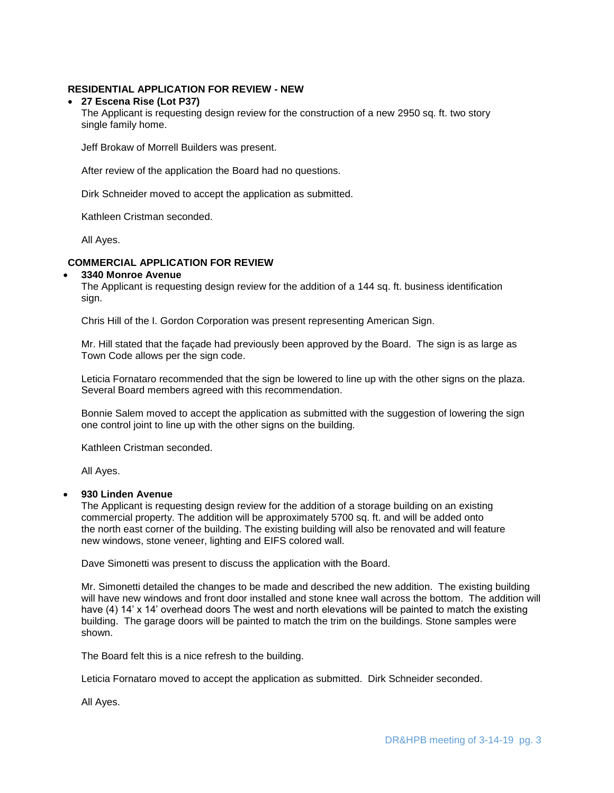# **RESIDENTIAL APPLICATION FOR REVIEW - NEW**

### **27 Escena Rise (Lot P37)**

The Applicant is requesting design review for the construction of a new 2950 sq. ft. two story single family home.

Jeff Brokaw of Morrell Builders was present.

After review of the application the Board had no questions.

Dirk Schneider moved to accept the application as submitted.

Kathleen Cristman seconded.

All Ayes.

#### **COMMERCIAL APPLICATION FOR REVIEW**

#### **3340 Monroe Avenue**

The Applicant is requesting design review for the addition of a 144 sq. ft. business identification sign.

Chris Hill of the I. Gordon Corporation was present representing American Sign.

Mr. Hill stated that the façade had previously been approved by the Board. The sign is as large as Town Code allows per the sign code.

Leticia Fornataro recommended that the sign be lowered to line up with the other signs on the plaza. Several Board members agreed with this recommendation.

Bonnie Salem moved to accept the application as submitted with the suggestion of lowering the sign one control joint to line up with the other signs on the building.

Kathleen Cristman seconded.

All Ayes.

#### **930 Linden Avenue**

The Applicant is requesting design review for the addition of a storage building on an existing commercial property. The addition will be approximately 5700 sq. ft. and will be added onto the north east corner of the building. The existing building will also be renovated and will feature new windows, stone veneer, lighting and EIFS colored wall.

Dave Simonetti was present to discuss the application with the Board.

Mr. Simonetti detailed the changes to be made and described the new addition. The existing building will have new windows and front door installed and stone knee wall across the bottom. The addition will have (4) 14' x 14' overhead doors The west and north elevations will be painted to match the existing building. The garage doors will be painted to match the trim on the buildings. Stone samples were shown.

The Board felt this is a nice refresh to the building.

Leticia Fornataro moved to accept the application as submitted. Dirk Schneider seconded.

All Ayes.